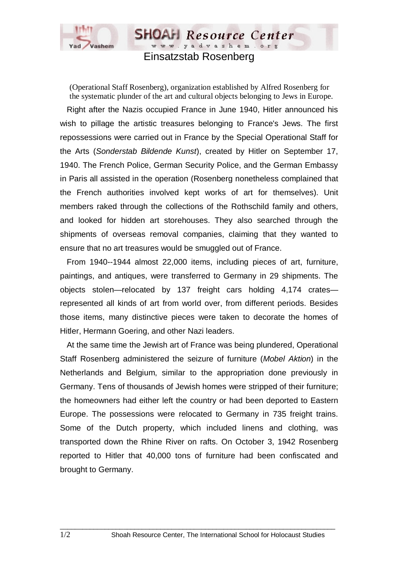

Einsatzstab Rosenberg

**SHOAH** Resource Center www.yadvashem.org

(Operational Staff Rosenberg), organization established by Alfred Rosenberg for the systematic plunder of the art and cultural objects belonging to Jews in Europe.

 Right after the Nazis occupied France in June 1940, Hitler announced his wish to pillage the artistic treasures belonging to France's Jews. The first repossessions were carried out in France by the Special Operational Staff for the Arts (*Sonderstab Bildende Kunst*), created by Hitler on September 17, 1940. The French Police, German Security Police, and the German Embassy in Paris all assisted in the operation (Rosenberg nonetheless complained that the French authorities involved kept works of art for themselves). Unit members raked through the collections of the Rothschild family and others, and looked for hidden art storehouses. They also searched through the shipments of overseas removal companies, claiming that they wanted to ensure that no art treasures would be smuggled out of France.

 From 1940--1944 almost 22,000 items, including pieces of art, furniture, paintings, and antiques, were transferred to Germany in 29 shipments. The objects stolen—relocated by 137 freight cars holding 4,174 crates represented all kinds of art from world over, from different periods. Besides those items, many distinctive pieces were taken to decorate the homes of Hitler, Hermann Goering, and other Nazi leaders.

 At the same time the Jewish art of France was being plundered, Operational Staff Rosenberg administered the seizure of furniture (*Mobel Aktion*) in the Netherlands and Belgium, similar to the appropriation done previously in Germany. Tens of thousands of Jewish homes were stripped of their furniture; the homeowners had either left the country or had been deported to Eastern Europe. The possessions were relocated to Germany in 735 freight trains. Some of the Dutch property, which included linens and clothing, was transported down the Rhine River on rafts. On October 3, 1942 Rosenberg reported to Hitler that 40,000 tons of furniture had been confiscated and brought to Germany.

 $\Box$  . The contribution of the contribution of the contribution of the contribution of the contribution of the contribution of the contribution of the contribution of the contribution of the contribution of the contributi